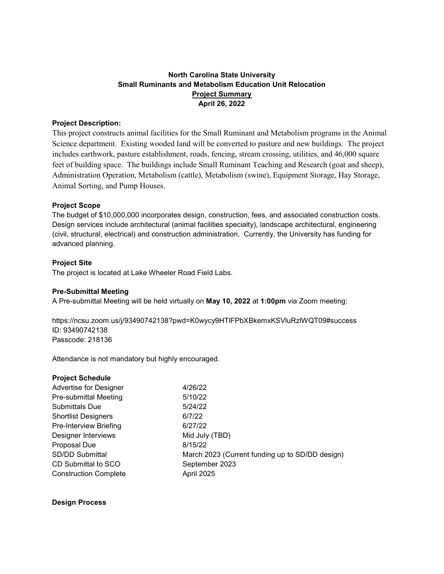# **North Carolina State University Small Ruminants and Metabolism Education Unit Relocation Project Summary April 26, 2022**

### **Project Description:**

This project constructs animal facilities for the Small Ruminant and Metabolism programs in the Animal Science department. Existing wooded land will be converted to pasture and new buildings. The project includes earthwork, pasture establishment, roads, fencing, stream crossing, utilities, and 46,000 square feet of building space. The buildings include Small Ruminant Teaching and Research (goat and sheep), Administration Operation, Metabolism (cattle), Metabolism (swine), Equipment Storage, Hay Storage, Animal Sorting, and Pump Houses.

### **Project Scope**

The budget of \$10,000,000 incorporates design, construction, fees, and associated construction costs. Design services include architectural (animal facilities specialty), landscape architectural, engineering (civil, structural, electrical) and construction administration. Currently, the University has funding for advanced planning.

### **Project Site**

The project is located at Lake Wheeler Road Field Labs.

## **Pre-Submittal Meeting**

A Pre-submittal Meeting will be held virtually on **May 10, 2022** at **1:00pm** via Zoom meeting:

https://ncsu.zoom.us/j/93490742138?pwd=K0wycy9HTlFPbXBkemxKSVluRzlWQT09#success ID: 93490742138 Passcode: 218136

Attendance is not mandatory but highly encouraged.

| <b>Project Schedule</b>      |                                                 |
|------------------------------|-------------------------------------------------|
| Advertise for Designer       | 4/26/22                                         |
| <b>Pre-submittal Meeting</b> | 5/10/22                                         |
| <b>Submittals Due</b>        | 5/24/22                                         |
| <b>Shortlist Designers</b>   | 6/7/22                                          |
| Pre-Interview Briefing       | 6/27/22                                         |
| Designer Interviews          | Mid July (TBD)                                  |
| Proposal Due                 | 8/15/22                                         |
| <b>SD/DD Submittal</b>       | March 2023 (Current funding up to SD/DD design) |
| CD Submittal to SCO          | September 2023                                  |
| <b>Construction Complete</b> | April 2025                                      |
|                              |                                                 |

**Design Process**